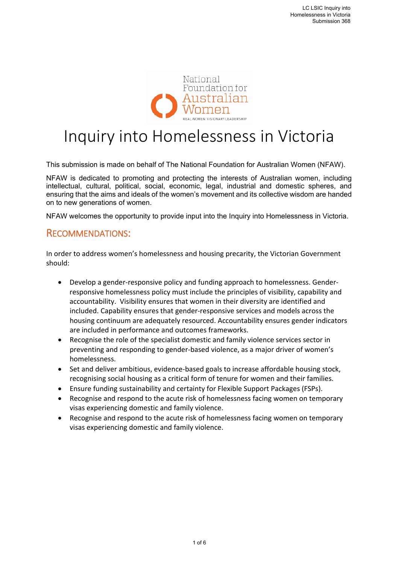

# Inquiry into Homelessness in Victoria

This submission is made on behalf of The National Foundation for Australian Women (NFAW).

NFAW is dedicated to promoting and protecting the interests of Australian women, including intellectual, cultural, political, social, economic, legal, industrial and domestic spheres, and ensuring that the aims and ideals of the women's movement and its collective wisdom are handed on to new generations of women.

NFAW welcomes the opportunity to provide input into the Inquiry into Homelessness in Victoria.

#### RECOMMENDATIONS:

In order to address women's homelessness and housing precarity, the Victorian Government should:

- Develop a gender‐responsive policy and funding approach to homelessness. Gender‐ responsive homelessness policy must include the principles of visibility, capability and accountability. Visibility ensures that women in their diversity are identified and included. Capability ensures that gender‐responsive services and models across the housing continuum are adequately resourced. Accountability ensures gender indicators are included in performance and outcomes frameworks.
- Recognise the role of the specialist domestic and family violence services sector in preventing and responding to gender‐based violence, as a major driver of women's homelessness.
- Set and deliver ambitious, evidence-based goals to increase affordable housing stock, recognising social housing as a critical form of tenure for women and their families.
- Ensure funding sustainability and certainty for Flexible Support Packages (FSPs).
- Recognise and respond to the acute risk of homelessness facing women on temporary visas experiencing domestic and family violence.
- Recognise and respond to the acute risk of homelessness facing women on temporary visas experiencing domestic and family violence.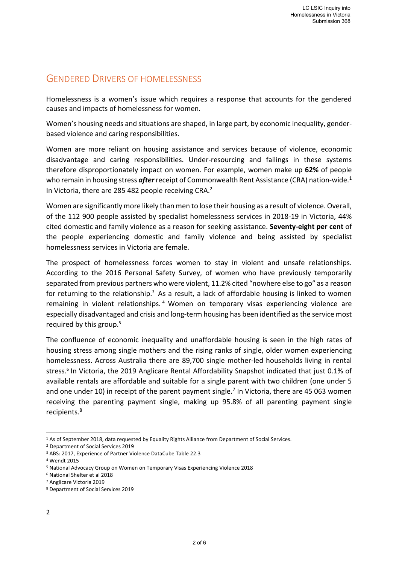## GENDERED DRIVERS OF HOMELESSNESS

Homelessness is a women's issue which requires a response that accounts for the gendered causes and impacts of homelessness for women.

Women's housing needs and situations are shaped, in large part, by economic inequality, gender‐ based violence and caring responsibilities.

Women are more reliant on housing assistance and services because of violence, economic disadvantage and caring responsibilities. Under‐resourcing and failings in these systems therefore disproportionately impact on women. For example, women make up **62%** of people who remain in housing stress *after* receipt of Commonwealth Rent Assistance (CRA) nation-wide.<sup>1</sup> In Victoria, there are 285 482 people receiving CRA.<sup>2</sup>

Women are significantly more likely than men to lose their housing as a result of violence. Overall, of the 112 900 people assisted by specialist homelessness services in 2018‐19 in Victoria, 44% cited domestic and family violence as a reason for seeking assistance. **Seventy‐eight per cent** of the people experiencing domestic and family violence and being assisted by specialist homelessness services in Victoria are female.

The prospect of homelessness forces women to stay in violent and unsafe relationships. According to the 2016 Personal Safety Survey, of women who have previously temporarily separated from previous partners who were violent, 11.2% cited "nowhere else to go" as a reason for returning to the relationship. $3$  As a result, a lack of affordable housing is linked to women remaining in violent relationships.<sup>4</sup> Women on temporary visas experiencing violence are especially disadvantaged and crisis and long‐term housing has been identified as the service most required by this group.<sup>5</sup>

The confluence of economic inequality and unaffordable housing is seen in the high rates of housing stress among single mothers and the rising ranks of single, older women experiencing homelessness. Across Australia there are 89,700 single mother-led households living in rental stress.<sup>6</sup> In Victoria, the 2019 Anglicare Rental Affordability Snapshot indicated that just 0.1% of available rentals are affordable and suitable for a single parent with two children (one under 5 and one under 10) in receipt of the parent payment single.<sup>7</sup> In Victoria, there are 45 063 women receiving the parenting payment single, making up 95.8% of all parenting payment single recipients.8

<sup>1</sup> As of September 2018, data requested by Equality Rights Alliance from Department of Social Services.

<sup>2</sup> Department of Social Services 2019

<sup>3</sup> ABS: 2017, Experience of Partner Violence DataCube Table 22.3

<sup>4</sup> Wendt 2015

<sup>5</sup> National Advocacy Group on Women on Temporary Visas Experiencing Violence 2018

<sup>6</sup> National Shelter et al 2018

<sup>7</sup> Anglicare Victoria 2019

<sup>8</sup> Department of Social Services 2019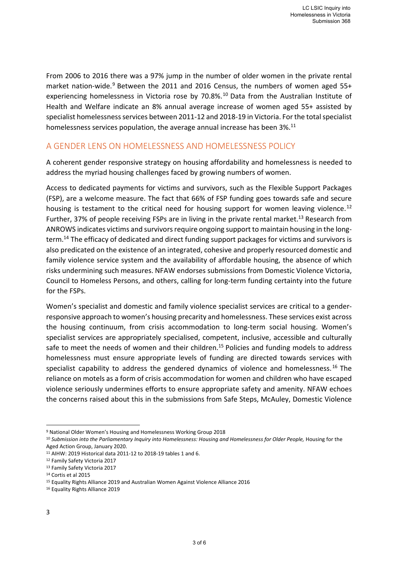From 2006 to 2016 there was a 97% jump in the number of older women in the private rental market nation-wide.<sup>9</sup> Between the 2011 and 2016 Census, the numbers of women aged 55+ experiencing homelessness in Victoria rose by 70.8%.<sup>10</sup> Data from the Australian Institute of Health and Welfare indicate an 8% annual average increase of women aged 55+ assisted by specialist homelessness services between 2011‐12 and 2018‐19 in Victoria. For the total specialist homelessness services population, the average annual increase has been 3%.<sup>11</sup>

#### A GENDER LENS ON HOMELESSNESS AND HOMELESSNESS POLICY

A coherent gender responsive strategy on housing affordability and homelessness is needed to address the myriad housing challenges faced by growing numbers of women.

Access to dedicated payments for victims and survivors, such as the Flexible Support Packages (FSP), are a welcome measure. The fact that 66% of FSP funding goes towards safe and secure housing is testament to the critical need for housing support for women leaving violence.<sup>12</sup> Further, 37% of people receiving FSPs are in living in the private rental market.<sup>13</sup> Research from ANROWS indicates victims and survivors require ongoing support to maintain housing in the long‐ term.<sup>14</sup> The efficacy of dedicated and direct funding support packages for victims and survivors is also predicated on the existence of an integrated, cohesive and properly resourced domestic and family violence service system and the availability of affordable housing, the absence of which risks undermining such measures. NFAW endorses submissions from Domestic Violence Victoria, Council to Homeless Persons, and others, calling for long‐term funding certainty into the future for the FSPs.

Women's specialist and domestic and family violence specialist services are critical to a gender‐ responsive approach to women's housing precarity and homelessness. These services exist across the housing continuum, from crisis accommodation to long-term social housing. Women's specialist services are appropriately specialised, competent, inclusive, accessible and culturally safe to meet the needs of women and their children.<sup>15</sup> Policies and funding models to address homelessness must ensure appropriate levels of funding are directed towards services with specialist capability to address the gendered dynamics of violence and homelessness.<sup>16</sup> The reliance on motels as a form of crisis accommodation for women and children who have escaped violence seriously undermines efforts to ensure appropriate safety and amenity. NFAW echoes the concerns raised about this in the submissions from Safe Steps, McAuley, Domestic Violence

 9 National Older Women's Housing and Homelessness Working Group 2018

<sup>&</sup>lt;sup>10</sup> Submission into the Parliamentary Inquiry into Homelessness: Housing and Homelessness for Older People, Housing for the Aged Action Group, January 2020.

<sup>11</sup> AIHW: 2019 Historical data 2011‐12 to 2018‐19 tables 1 and 6.

<sup>12</sup> Family Safety Victoria 2017

<sup>13</sup> Family Safety Victoria 2017

<sup>14</sup> Cortis et al 2015

<sup>15</sup> Equality Rights Alliance 2019 and Australian Women Against Violence Alliance 2016

<sup>16</sup> Equality Rights Alliance 2019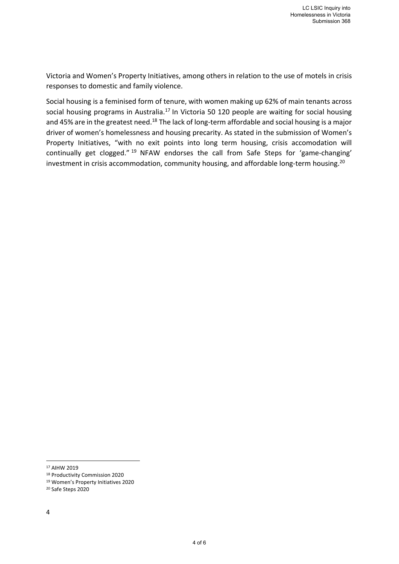Victoria and Women's Property Initiatives, among others in relation to the use of motels in crisis responses to domestic and family violence.

Social housing is a feminised form of tenure, with women making up 62% of main tenants across social housing programs in Australia.<sup>17</sup> In Victoria 50 120 people are waiting for social housing and 45% are in the greatest need.<sup>18</sup> The lack of long-term affordable and social housing is a major driver of women's homelessness and housing precarity. As stated in the submission of Women's Property Initiatives, "with no exit points into long term housing, crisis accomodation will continually get clogged." <sup>19</sup> NFAW endorses the call from Safe Steps for 'game-changing' investment in crisis accommodation, community housing, and affordable long-term housing.<sup>20</sup>

<sup>17</sup> AIHW 2019

<sup>18</sup> Productivity Commission 2020

<sup>19</sup> Women's Property Initiatives 2020

<sup>20</sup> Safe Steps 2020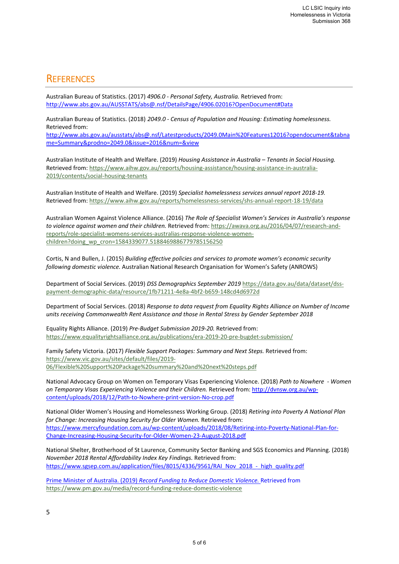### **REFERENCES**

Australian Bureau of Statistics. (2017) *4906.0 ‐ Personal Safety, Australia.* Retrieved from: http://www.abs.gov.au/AUSSTATS/abs@.nsf/DetailsPage/4906.02016?OpenDocument#Data

Australian Bureau of Statistics. (2018) *2049.0 ‐ Census of Population and Housing: Estimating homelessness.*  Retrieved from:

http://www.abs.gov.au/ausstats/abs@.nsf/Latestproducts/2049.0Main%20Features12016?opendocument&tabna me=Summary&prodno=2049.0&issue=2016&num=&view

Australian Institute of Health and Welfare. (2019) *Housing Assistance in Australia – Tenants in Social Housing.*  Retrieved from: https://www.aihw.gov.au/reports/housing‐assistance/housing‐assistance‐in‐australia‐ 2019/contents/social‐housing‐tenants

Australian Institute of Health and Welfare. (2019) *Specialist homelessness services annual report 2018‐19.*  Retrieved from: https://www.aihw.gov.au/reports/homelessness‐services/shs‐annual‐report‐18‐19/data

Australian Women Against Violence Alliance. (2016) *The Role of Specialist Women's Services in Australia's response to violence against women and their children.* Retrieved from: https://awava.org.au/2016/04/07/research‐and‐ reports/role‐specialist‐womens‐services‐australias‐response‐violence‐women‐ children?doing\_wp\_cron=1584339077.5188469886779785156250

Cortis, N and Bullen, J. (2015) *Building effective policies and services to promote women's economic security following domestic violence.* Australian National Research Organisation for Women's Safety (ANROWS)

Department of Social Services. (2019) *DSS Demographics September 2019* https://data.gov.au/data/dataset/dss‐ payment‐demographic‐data/resource/1fb71211‐4e8a‐4bf2‐b659‐148cd4d6972d

Department of Social Services. (2018) *Response to data request from Equality Rights Alliance on Number of Income units receiving Commonwealth Rent Assistance and those in Rental Stress by Gender September 2018* 

Equality Rights Alliance. (2019) *Pre‐Budget Submission 2019‐20.* Retrieved from: https://www.equalityrightsalliance.org.au/publications/era‐2019‐20‐pre‐bugdet‐submission/

Family Safety Victoria. (2017) *Flexible Support Packages: Summary and Next Steps.* Retrieved from: https://www.vic.gov.au/sites/default/files/2019‐ 06/Flexible%20Support%20Package%20summary%20and%20next%20steps.pdf

National Advocacy Group on Women on Temporary Visas Experiencing Violence. (2018) *Path to Nowhere ‐ Women on Temporary Visas Experiencing Violence and their Children.* Retrieved from: http://dvnsw.org.au/wp‐ content/uploads/2018/12/Path‐to‐Nowhere‐print‐version‐No‐crop.pdf

National Older Women's Housing and Homelessness Working Group. (2018) *Retiring into Poverty A National Plan for Change: Increasing Housing Security for Older Women.* Retrieved from: https://www.mercyfoundation.com.au/wp-content/uploads/2018/08/Retiring-into-Poverty-National-Plan-for-Change‐Increasing‐Housing‐Security‐for‐Older‐Women‐23‐August‐2018.pdf 

National Shelter, Brotherhood of St Laurence, Community Sector Banking and SGS Economics and Planning. (2018) *November 2018 Rental Affordability Index Key Findings.* Retrieved from: https://www.sgsep.com.au/application/files/8015/4336/9561/RAI\_Nov\_2018\_-\_high\_quality.pdf

Prime Minister of Australia. (2019) *Record Funding to Reduce Domestic Violence.* Retrieved from https://www.pm.gov.au/media/record‐funding‐reduce‐domestic‐violence